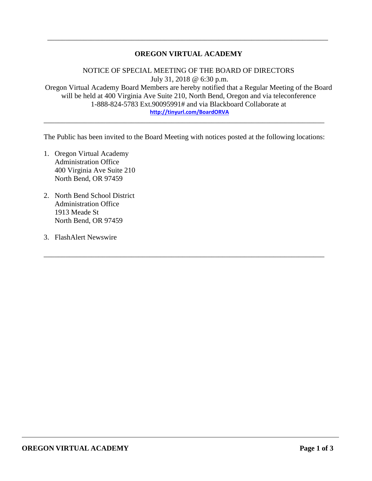## **OREGON VIRTUAL ACADEMY**

\_\_\_\_\_\_\_\_\_\_\_\_\_\_\_\_\_\_\_\_\_\_\_\_\_\_\_\_\_\_\_\_\_\_\_\_\_\_\_\_\_\_\_\_\_\_\_\_\_\_\_\_\_\_\_\_\_\_\_\_\_\_\_\_\_\_\_\_\_\_\_\_\_\_\_\_\_

NOTICE OF SPECIAL MEETING OF THE BOARD OF DIRECTORS July 31, 2018 @ 6:30 p.m. Oregon Virtual Academy Board Members are hereby notified that a Regular Meeting of the Board will be held at 400 Virginia Ave Suite 210, North Bend, Oregon and via teleconference 1-888-824-5783 Ext.90095991# and via Blackboard Collaborate at **<http://tinyurl.com/BoardORVA>**

The Public has been invited to the Board Meeting with notices posted at the following locations:

\_\_\_\_\_\_\_\_\_\_\_\_\_\_\_\_\_\_\_\_\_\_\_\_\_\_\_\_\_\_\_\_\_\_\_\_\_\_\_\_\_\_\_\_\_\_\_\_\_\_\_\_\_\_\_\_\_\_\_\_\_\_\_\_\_\_\_\_\_\_\_\_\_\_\_\_\_

\_\_\_\_\_\_\_\_\_\_\_\_\_\_\_\_\_\_\_\_\_\_\_\_\_\_\_\_\_\_\_\_\_\_\_\_\_\_\_\_\_\_\_\_\_\_\_\_\_\_\_\_\_\_\_\_\_\_\_\_\_\_\_\_\_\_\_\_\_\_\_\_\_\_\_\_\_

- 1. Oregon Virtual Academy Administration Office 400 Virginia Ave Suite 210 North Bend, OR 97459
- 2. North Bend School District Administration Office 1913 Meade St North Bend, OR 97459
- 3. FlashAlert Newswire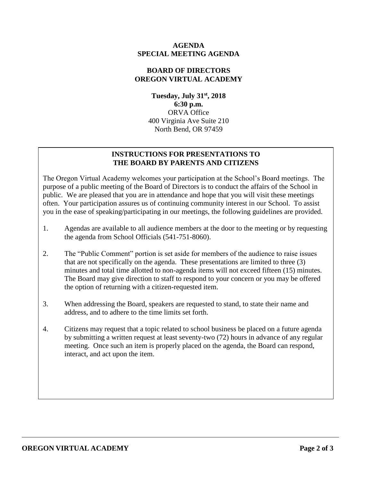## **AGENDA SPECIAL MEETING AGENDA**

### **BOARD OF DIRECTORS OREGON VIRTUAL ACADEMY**

**Tuesday, July 31st , 2018 6:30 p.m.** ORVA Office 400 Virginia Ave Suite 210 North Bend, OR 97459

## **INSTRUCTIONS FOR PRESENTATIONS TO THE BOARD BY PARENTS AND CITIZENS**

The Oregon Virtual Academy welcomes your participation at the School's Board meetings. The purpose of a public meeting of the Board of Directors is to conduct the affairs of the School in public. We are pleased that you are in attendance and hope that you will visit these meetings often. Your participation assures us of continuing community interest in our School. To assist you in the ease of speaking/participating in our meetings, the following guidelines are provided.

- 1. Agendas are available to all audience members at the door to the meeting or by requesting the agenda from School Officials (541-751-8060).
- 2. The "Public Comment" portion is set aside for members of the audience to raise issues that are not specifically on the agenda. These presentations are limited to three (3) minutes and total time allotted to non-agenda items will not exceed fifteen (15) minutes. The Board may give direction to staff to respond to your concern or you may be offered the option of returning with a citizen-requested item.
- 3. When addressing the Board, speakers are requested to stand, to state their name and address, and to adhere to the time limits set forth.
- 4. Citizens may request that a topic related to school business be placed on a future agenda by submitting a written request at least seventy-two (72) hours in advance of any regular meeting. Once such an item is properly placed on the agenda, the Board can respond, interact, and act upon the item.